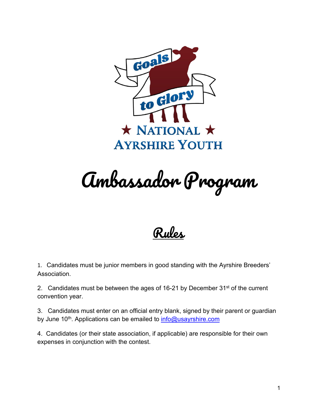

Ambassador Program

Rules

1. Candidates must be junior members in good standing with the Ayrshire Breeders' Association.

2. Candidates must be between the ages of 16-21 by December  $31^{st}$  of the current convention year.

3. Candidates must enter on an official entry blank, signed by their parent or guardian by June 10<sup>th</sup>. Applications can be emailed to **info@usayrshire.com** 

4. Candidates (or their state association, if applicable) are responsible for their own expenses in conjunction with the contest.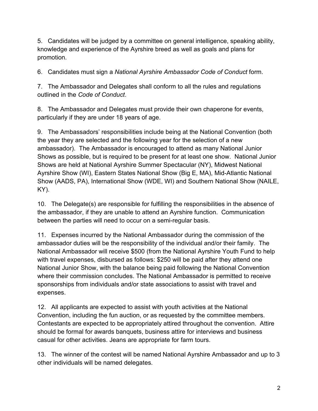5. Candidates will be judged by a committee on general intelligence, speaking ability, knowledge and experience of the Ayrshire breed as well as goals and plans for promotion.

6. Candidates must sign a *National Ayrshire Ambassador Code of Conduct* form.

7. The Ambassador and Delegates shall conform to all the rules and regulations outlined in the *Code of Conduct*.

8. The Ambassador and Delegates must provide their own chaperone for events, particularly if they are under 18 years of age.

9. The Ambassadors' responsibilities include being at the National Convention (both the year they are selected and the following year for the selection of a new ambassador). The Ambassador is encouraged to attend as many National Junior Shows as possible, but is required to be present for at least one show. National Junior Shows are held at National Ayrshire Summer Spectacular (NY), Midwest National Ayrshire Show (WI), Eastern States National Show (Big E, MA), Mid-Atlantic National Show (AADS, PA), International Show (WDE, WI) and Southern National Show (NAILE, KY).

10. The Delegate(s) are responsible for fulfilling the responsibilities in the absence of the ambassador, if they are unable to attend an Ayrshire function. Communication between the parties will need to occur on a semi-regular basis.

11. Expenses incurred by the National Ambassador during the commission of the ambassador duties will be the responsibility of the individual and/or their family. The National Ambassador will receive \$500 (from the National Ayrshire Youth Fund to help with travel expenses, disbursed as follows: \$250 will be paid after they attend one National Junior Show, with the balance being paid following the National Convention where their commission concludes. The National Ambassador is permitted to receive sponsorships from individuals and/or state associations to assist with travel and expenses.

12. All applicants are expected to assist with youth activities at the National Convention, including the fun auction, or as requested by the committee members. Contestants are expected to be appropriately attired throughout the convention. Attire should be formal for awards banquets, business attire for interviews and business casual for other activities. Jeans are appropriate for farm tours.

13. The winner of the contest will be named National Ayrshire Ambassador and up to 3 other individuals will be named delegates.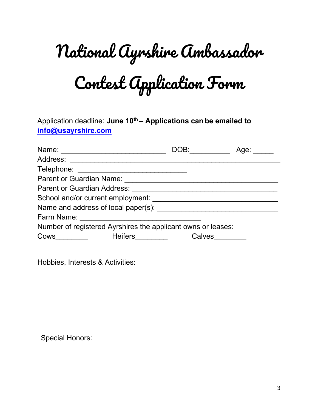## National Ayrshire Ambassador

Contest Application Form

Application deadline: **June 10<sup>th</sup> – Applications can be emailed to [info@usayrshire.com](mailto:info@usayrshire.com)** 

| Name: <u>_________________</u>                               | DOB: Andrea Monte and the Society of the Society of the Society of the Society of the Society of the Society o | Age: |
|--------------------------------------------------------------|----------------------------------------------------------------------------------------------------------------|------|
| Address:                                                     |                                                                                                                |      |
| Telephone:                                                   |                                                                                                                |      |
| <b>Parent or Guardian Name:</b>                              |                                                                                                                |      |
| <b>Parent or Guardian Address:</b>                           |                                                                                                                |      |
| School and/or current employment:                            |                                                                                                                |      |
| Name and address of local paper(s):                          |                                                                                                                |      |
| Farm Name:                                                   |                                                                                                                |      |
| Number of registered Ayrshires the applicant owns or leases: |                                                                                                                |      |
| <b>Heifers Exercise Exercise</b><br>Cows                     | Calves                                                                                                         |      |

Hobbies, Interests & Activities:

Special Honors: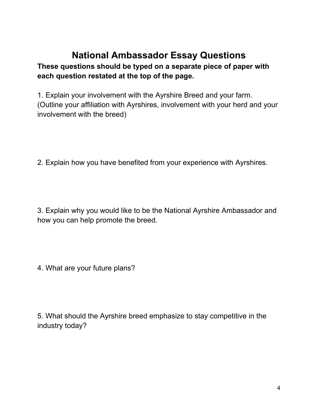## **National Ambassador Essay Questions**

## **These questions should be typed on a separate piece of paper with each question restated at the top of the page.**

1. Explain your involvement with the Ayrshire Breed and your farm. (Outline your affiliation with Ayrshires, involvement with your herd and your involvement with the breed)

2. Explain how you have benefited from your experience with Ayrshires.

3. Explain why you would like to be the National Ayrshire Ambassador and how you can help promote the breed.

4. What are your future plans?

5. What should the Ayrshire breed emphasize to stay competitive in the industry today?